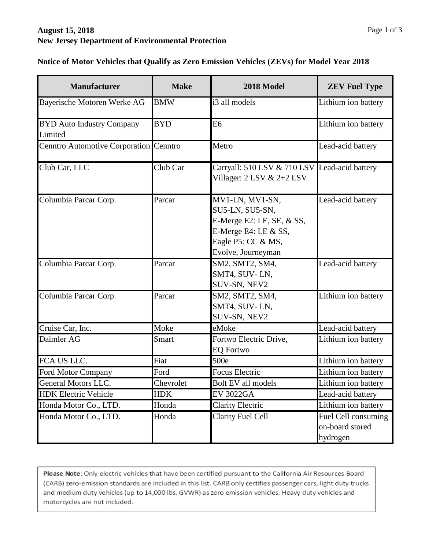## **August 15, 2018 New Jersey Department of Environmental Protection**

| <b>Manufacturer</b>                         | <b>Make</b> | 2018 Model                                                                                                                          | <b>ZEV Fuel Type</b>                               |
|---------------------------------------------|-------------|-------------------------------------------------------------------------------------------------------------------------------------|----------------------------------------------------|
| Bayerische Motoren Werke AG                 | <b>BMW</b>  | i3 all models                                                                                                                       | Lithium ion battery                                |
| <b>BYD Auto Industry Company</b><br>Limited | <b>BYD</b>  | E <sub>6</sub>                                                                                                                      | Lithium ion battery                                |
| Cenntro Automotive Corporation Cenntro      |             | Metro                                                                                                                               | Lead-acid battery                                  |
| Club Car, LLC                               | Club Car    | Carryall: 510 LSV & 710 LSV Lead-acid battery<br>Villager: $2$ LSV $\& 2+2$ LSV                                                     |                                                    |
| Columbia Parcar Corp.                       | Parcar      | MV1-LN, MV1-SN,<br>SU5-LN, SU5-SN,<br>E-Merge E2: LE, SE, & SS,<br>E-Merge E4: LE & SS,<br>Eagle P5: CC & MS,<br>Evolve, Journeyman | Lead-acid battery                                  |
| Columbia Parcar Corp.                       | Parcar      | SM2, SMT2, SM4,<br>SMT4, SUV-LN,<br>SUV-SN, NEV2                                                                                    | Lead-acid battery                                  |
| Columbia Parcar Corp.                       | Parcar      | SM2, SMT2, SM4,<br>SMT4, SUV-LN,<br>SUV-SN, NEV2                                                                                    | Lithium ion battery                                |
| Cruise Car, Inc.                            | Moke        | eMoke                                                                                                                               | Lead-acid battery                                  |
| Daimler AG                                  | Smart       | Fortwo Electric Drive,<br><b>EQ Fortwo</b>                                                                                          | Lithium ion battery                                |
| FCA US LLC.                                 | Fiat        | 500e                                                                                                                                | Lithium ion battery                                |
| <b>Ford Motor Company</b>                   | Ford        | <b>Focus Electric</b>                                                                                                               | Lithium ion battery                                |
| General Motors LLC.                         | Chevrolet   | Bolt EV all models                                                                                                                  | Lithium ion battery                                |
| <b>HDK Electric Vehicle</b>                 | <b>HDK</b>  | <b>EV 3022GA</b>                                                                                                                    | Lead-acid battery                                  |
| Honda Motor Co., LTD.                       | Honda       | <b>Clarity Electric</b>                                                                                                             | Lithium ion battery                                |
| Honda Motor Co., LTD.                       | Honda       | <b>Clarity Fuel Cell</b>                                                                                                            | Fuel Cell consuming<br>on-board stored<br>hydrogen |

**Notice of Motor Vehicles that Qualify as Zero Emission Vehicles (ZEVs) for Model Year 2018**

Please Note: Only electric vehicles that have been certified pursuant to the California Air Resources Board (CARB) zero-emission standards are included in this list. CARB only certifies passenger cars, light duty trucks and medium duty vehicles (up to 14,000 lbs. GVWR) as zero emission vehicles. Heavy duty vehicles and motorcycles are not included.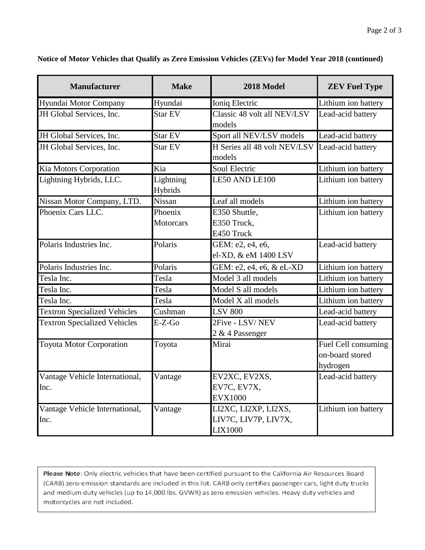| <b>Manufacturer</b>                    | <b>Make</b>                 | 2018 Model                                                     | <b>ZEV Fuel Type</b>                               |
|----------------------------------------|-----------------------------|----------------------------------------------------------------|----------------------------------------------------|
| Hyundai Motor Company                  | Hyundai                     | Ioniq Electric                                                 | Lithium ion battery                                |
| JH Global Services, Inc.               | Star EV                     | Classic 48 volt all NEV/LSV<br>models                          | Lead-acid battery                                  |
| JH Global Services, Inc.               | <b>Star EV</b>              | Sport all NEV/LSV models                                       | Lead-acid battery                                  |
| JH Global Services, Inc.               | <b>Star EV</b>              | H Series all 48 volt NEV/LSV<br>models                         | Lead-acid battery                                  |
| Kia Motors Corporation                 | Kia                         | Soul Electric                                                  | Lithium ion battery                                |
| Lightning Hybrids, LLC.                | Lightning<br>Hybrids        | LE50 AND LE100                                                 | Lithium ion battery                                |
| Nissan Motor Company, LTD.             | Nissan                      | Leaf all models                                                | Lithium ion battery                                |
| Phoenix Cars LLC.                      | Phoenix<br><b>Motorcars</b> | E350 Shuttle,<br>E350 Truck,<br>E450 Truck                     | Lithium ion battery                                |
| Polaris Industries Inc.                | Polaris                     | GEM: e2, e4, e6,<br>el-XD, & eM 1400 LSV                       | Lead-acid battery                                  |
| Polaris Industries Inc.                | Polaris                     | GEM: e2, e4, e6, & eL-XD                                       | Lithium ion battery                                |
| Tesla Inc.                             | Tesla                       | Model 3 all models                                             | Lithium ion battery                                |
| Tesla Inc.                             | Tesla                       | Model S all models                                             | Lithium ion battery                                |
| Tesla Inc.                             | Tesla                       | Model X all models                                             | Lithium ion battery                                |
| <b>Textron Specialized Vehicles</b>    | Cushman                     | <b>LSV 800</b>                                                 | Lead-acid battery                                  |
| <b>Textron Specialized Vehicles</b>    | $E-Z-Go$                    | 2Five - LSV/NEV<br>2 & 4 Passenger                             | Lead-acid battery                                  |
| <b>Toyota Motor Corporation</b>        | Toyota                      | Mirai                                                          | Fuel Cell consuming<br>on-board stored<br>hydrogen |
| Vantage Vehicle International,<br>Inc. | Vantage                     | EV2XC, EV2XS,<br>EV7C, EV7X,<br><b>EVX1000</b>                 | Lead-acid battery                                  |
| Vantage Vehicle International,<br>Inc. | Vantage                     | LI2XC, LI2XP, LI2XS,<br>LIV7C, LIV7P, LIV7X,<br><b>LIX1000</b> | Lithium ion battery                                |

**Notice of Motor Vehicles that Qualify as Zero Emission Vehicles (ZEVs) for Model Year 2018 (continued)**

Please Note: Only electric vehicles that have been certified pursuant to the California Air Resources Board (CARB) zero-emission standards are included in this list. CARB only certifies passenger cars, light duty trucks and medium duty vehicles (up to 14,000 lbs. GVWR) as zero emission vehicles. Heavy duty vehicles and motorcycles are not included.